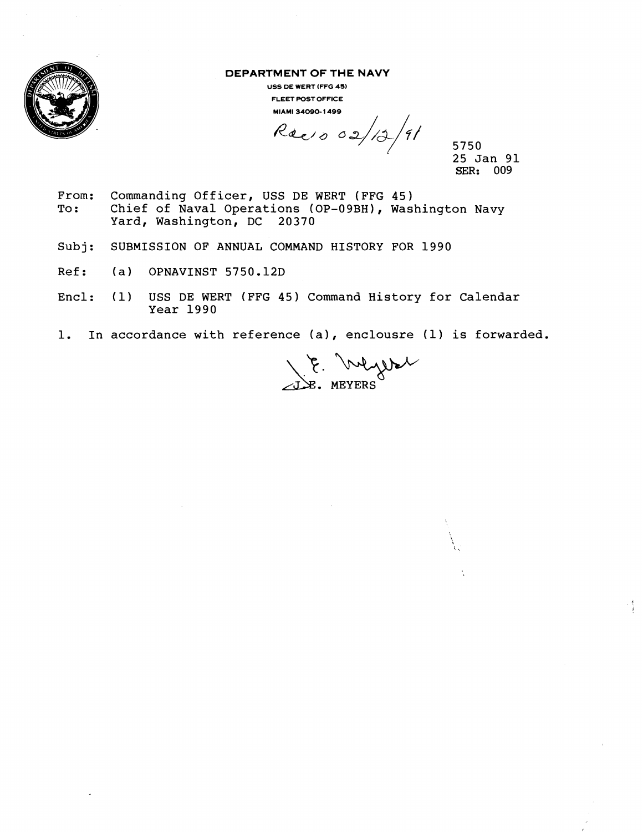

**DEPARTMENT OF THE NAVY** 

**USS DE WERT (FFG 45) FLEET POST OFFICE MIAMI 34090- 1499** 

 $Reesos(12/9)$ 

5750 **<sup>1</sup>**25 Jan 91 **SER: 009** 

- 1

- From: Commanding Officer, USS DE WERT (FFG 45)<br>To: Chief of Naval Operations (OP-09BH), Was Chief of Naval Operations (OP-09BH), Washington Navy Yard, Washington, DC 20370
- Subj: SUBMISSION OF ANNUAL COMMAND HISTORY FOR 1990
- Ref: (a) OPNAVINST 5750.12D
- Encl: (1) USS DE WERT (FFG 45) Command History for Calendar Year 1990
- 1. In accordance with reference (a), enclousre (1) is forwarded.

E. Mysel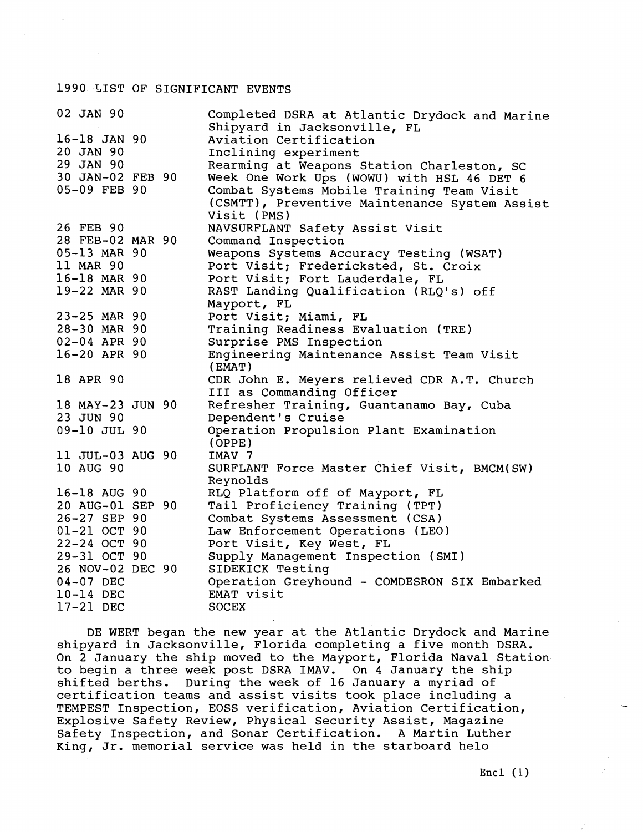## 1990. %IST OF SIGNIFICANT EVENTS

| 02 JAN 90        | Completed DSRA at Atlantic Drydock and Marine |
|------------------|-----------------------------------------------|
|                  | Shipyard in Jacksonville, FL                  |
| $16 - 18$ JAN 90 | Aviation Certification                        |
| 20 JAN 90        | Inclining experiment                          |
| 29 JAN 90        | Rearming at Weapons Station Charleston, SC    |
| 30 JAN-02 FEB 90 | Week One Work Ups (WOWU) with HSL 46 DET 6    |
| 05-09 FEB 90     | Combat Systems Mobile Training Team Visit     |
|                  | (CSMTT), Preventive Maintenance System Assist |
|                  | Visit (PMS)                                   |
| 26 FEB 90        | NAVSURFLANT Safety Assist Visit               |
| 28 FEB-02 MAR 90 | Command Inspection                            |
| 05-13 MAR 90     | Weapons Systems Accuracy Testing (WSAT)       |
| 11 MAR 90        | Port Visit; Fredericksted, St. Croix          |
| 16-18 MAR 90     | Port Visit; Fort Lauderdale, FL               |
| 19-22 MAR 90     | RAST Landing Qualification (RLQ's) off        |
|                  | Mayport, FL                                   |
| 23-25 MAR 90     | Port Visit; Miami, FL                         |
| 28-30 MAR 90     | Training Readiness Evaluation (TRE)           |
| 02-04 APR 90     | Surprise PMS Inspection                       |
| 16-20 APR 90     | Engineering Maintenance Assist Team Visit     |
|                  | (EMAT)                                        |
| 18 APR 90        | CDR John E. Meyers relieved CDR A.T. Church   |
|                  | III as Commanding Officer                     |
| 18 MAY-23 JUN 90 | Refresher Training, Guantanamo Bay, Cuba      |
| 23 JUN 90        | Dependent's Cruise                            |
| 09-10 JUL 90     | Operation Propulsion Plant Examination        |
|                  | (OPPE)                                        |
| 11 JUL-03 AUG 90 | IMAV 7                                        |
| 10 AUG 90        | SURFLANT Force Master Chief Visit, BMCM(SW)   |
|                  | Reynolds                                      |
| 16-18 AUG 90     | RLQ Platform off of Mayport, FL               |
| 20 AUG-01 SEP 90 | Tail Proficiency Training (TPT)               |
| 26-27 SEP 90     | Combat Systems Assessment (CSA)               |
| 01-21 OCT 90     | Law Enforcement Operations (LEO)              |
| 22-24 OCT 90     | Port Visit, Key West, FL                      |
| 29-31 OCT 90     | Supply Management Inspection (SMI)            |
| 26 NOV-02 DEC 90 | SIDEKICK Testing                              |
| 04-07 DEC        | Operation Greyhound - COMDESRON SIX Embarked  |
| 10-14 DEC        | EMAT visit                                    |
| 17-21 DEC        | <b>SOCEX</b>                                  |
|                  |                                               |

DE WERT began the new year at the Atlantic Drydock and Marine shipyard in Jacksonville, Florida completing a five month DSRA. On 2 January the ship moved to the Mayport, Florida Naval Station to begin a three week post DSRA IMAV. On 4 January the ship shifted berths. During the week of 16 January a myriad of certification teams and assist visits took place including a TEMPEST Inspection, EOSS verification, Aviation Certification, Explosive Safety Review, Physical Security Assist, Magazine Safety Inspection, and Sonar Certification. A Martin Luther King, Jr. memorial service was held in the starboard helo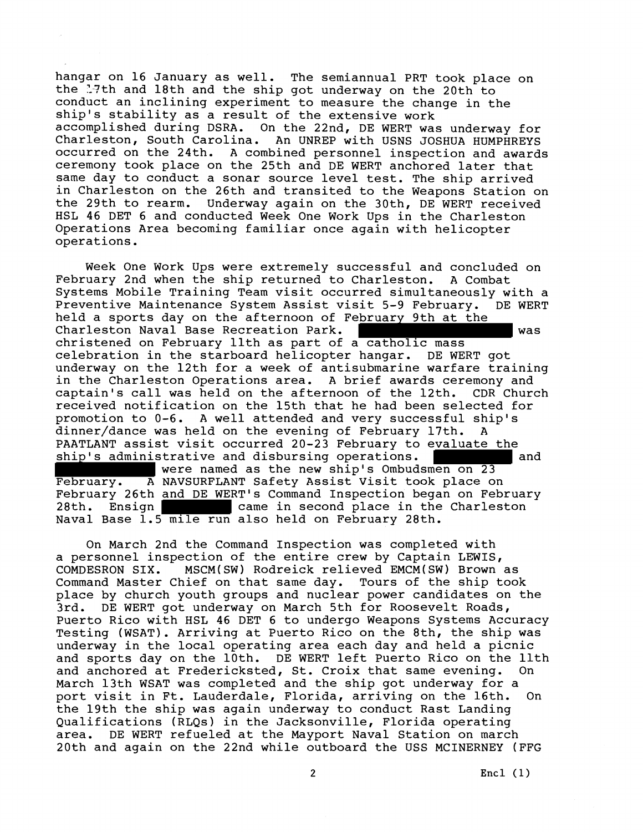hangar on 16 January as well. The semiannual PRT took place on the 17th and 18th and the ship got underway on the 20th to conduct an inclining experiment to measure the change in the ship's stability as a result of the extensive work accomplished during DSRA. On the 22nd, DE WERT was underway for Charleston, South Carolina. An UNREP with USNS JOSHUA HUMPHREYS occurred on the 24th. A combined personnel inspection and awards ceremony took place on the 25th and DE WERT anchored later that same day to conduct a sonar source level test. The ship arrived in Charleston on the 26th and transited to the Weapons Station on<br>the 29th to rearm. Underway again on the 30th, DE WERT received Underway again on the 30th, DE WERT received HSL 46 DET 6 and conducted Week One Work Ups in the Charleston Operations Area becoming familiar once again with helicopter operations.

Week One Work Ups were extremely successful and concluded on February 2nd when the ship returned to Charleston. A Combat Systems Mobile Training Team visit occurred simultaneously with a Preventive Maintenance System Assist visit 5-9 February. DE WERT held a sports day on the afternoon of February 9th at the Charleston Naval Base Recreation Park. was christened on February llth as part of a catholic mass celebration in the starboard helicopter hangar. DE WERT got underway on the 12th for a week of antisubmarine warfare training in the Charleston Operations area. A brief awards ceremony and captain's call was held on the afternoon of the 12th. CDR Church received notification on the 15th that he had been selected for promotion to 0-6. A well attended and very successful ship's dinner/dance was held on the evening of February 17th. PAATLANT assist visit occurred 20-23 February to evaluate the ship's administrative and disbursing operations. The mand were named as the new ship's Ombudsmen on 23

February. A NAVSURFLANT Safety Assist Visit took place on February 26th and DE WERT's Command Inspection began on February 28th. Ensign came in second place in the Charleston Naval Base 1.5 mile run also held on February 28th.

On March 2nd the Command Inspection was completed with a personnel inspection of the entire crew by Captain LEWIS, COMDESRON SIX. MSCM(SW) Rodreick relieved EMCM(SW) Brown as Command Master Chief on that same day. Tours of the ship took place by church youth groups and nuclear power candidates on the 3rd. DE WERT got underway on March 5th for Roosevelt Roads, Puerto Rico with HSL 46 DET 6 to undergo Weapons Systems Accuracy Testing (WSAT). Arriving at Puerto Rico on the 8th, the ship was underway in the local operating area each day and held a picnic and sports day on the 10th. DE WERT left Puerto Rico on the llth and anchored at Fredericksted, St. Croix that same evening. On March 13th WSAT was completed and the ship got underway for a port visit in Ft. Lauderdale, Florida, arriving on the 16th. On the 19th the ship was again underway to conduct Rast Landing Qualifications (RLQs) in the Jacksonville, Florida operating area. DE WERT refueled at the Mayport Naval Station on march 20th and again on the 22nd while outboard the USS MCINERNEY (FFG

2 **Encl (1)**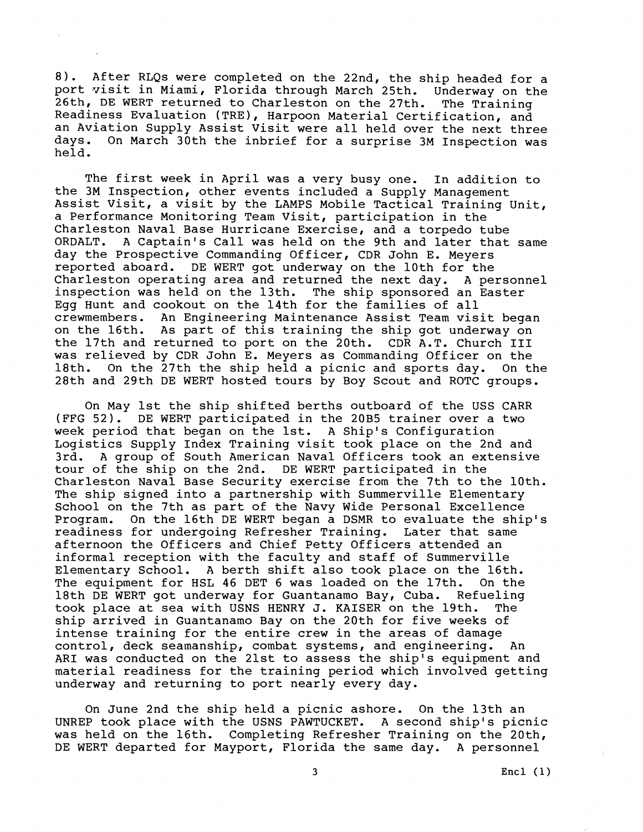8). After RLQs were completed on the 22nd, the ship headed for a port visit in Miami, Florida through March 25th. Underway on the 26th, DE WERT returned to Charleston on the 27th. The Training Readiness Evaluation (TRE), Harpoon Material Certification, and an Aviation Supply Assist Visit were all held over the next three days. On March 30th the inbrief for a surprise 3M Inspection was held.

The first week in April was a very busy one. In addition to the 3M Inspection, other events included a Supply Management Assist Visit, a visit by the LAMPS Mobile Tactical Training Unit, a Performance Monitoring Team Visit, participation in the Charleston Naval Base Hurricane Exercise, and a torpedo tube ORDALT. A Captain's Call was held on the 9th and later that same day the Prospective Commanding Officer, CDR John E. Meyers reported aboard. DE WERT got underway on the 10th for the Charleston operating area and returned the next day. A personnel inspection was held on the 13th. The ship sponsored an Easter Egg Hunt and cookout on the 14th for the families of all crewmembers. An Engineering Maintenance Assist Team visit began on the 16th. As part of this training the ship got underway on the 17th and returned to port on the 20th. CDR A.T. Church I11 was relieved by CDR John E. Meyers as Commanding Officer on the 18th. On the 27th the ship held a picnic and sports day. On the 28th and 29th DE WERT hosted tours by Boy Scout and ROTC groups.

On May 1st the ship shifted berths outboard of the USS CARR (FFG 52). DE WERT participated in the 20B5 trainer over a two week period that began on the 1st. A Ship's Configuration Logistics Supply Index Training visit took place on the 2nd and<br>3rd. A group of South American Naval Officers took an extensive A group of South American Naval Officers took an extensive tour of the ship on the 2nd. DE WERT participated in the Charleston Naval Base Security exercise from the 7th to the 10th. The ship signed into a partnership with Summerville Elementary School on the 7th as part of the Navy Wide Personal Excellence Program. On the 16th DE WERT began a DSMR to evaluate the ship's readiness for undergoing Refresher Training. Later that same afternoon the Officers and Chief Petty Officers attended an informal reception with the faculty and staff of Summerville Elementary School. A berth shift also took place on the 16th. The equipment for HSL 46 DET 6 was loaded on the 17th. On the 18th DE WERT got underway for Guantanamo Bay, Cuba. Refueling took place at sea with USNS HENRY J. KAISER on the 19th. The ship arrived in Guantanamo Bay on the 20th for five weeks of intense training for the entire crew in the areas of damage control, deck seamanship, combat systems, and engineering. An ARI was conducted on the 21st to assess the ship's equipment and material readiness for the training period which involved getting underway and returning to port nearly every day.

On June 2nd the ship held a picnic ashore. On the 13th an UNREP took place with the USNS PAWTUCKET. A second ship's picnic was held on the 16th. Completing Refresher Training on the 20th, DE WERT departed for Mayport, Florida the same day. A personnel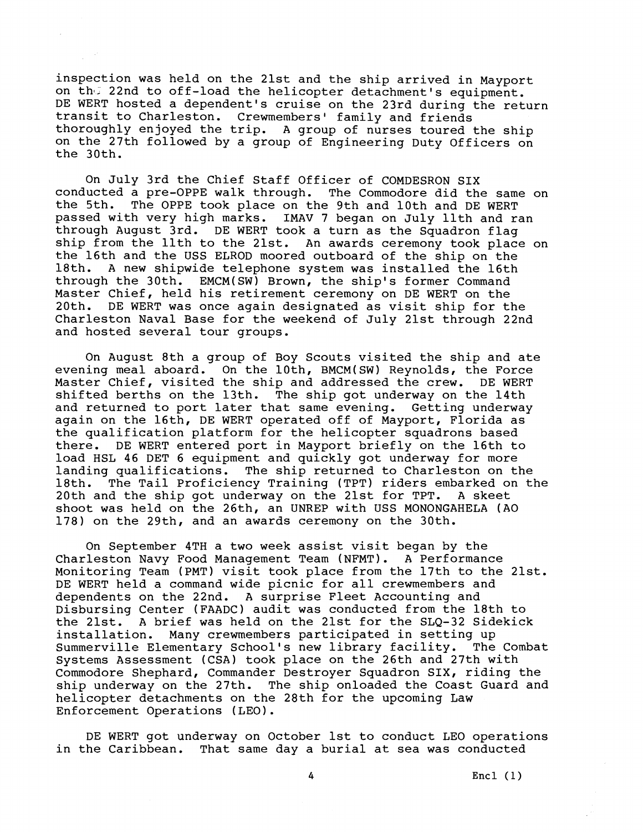inspection was held on the 21st and the ship arrived in Mayport on the 22nd to off-load the helicopter detachment's equipment. DE WERT hosted a dependent's cruise on the 23rd during the return transit to Charleston. Crewmembers' family and friends thoroughly enjoyed the trip. A group of nurses toured the ship on the 27th followed by a group of Engineering Duty Officers on the 30th.

On July 3rd the Chief Staff Officer of COMDESRON SIX conducted a pre-OPPE walk through. The Commodore did the same on the 5th. The OPPE took place on the 9th and 10th and DE WERT passed with very high marks. IMAV 7 began on July llth and ran through August 3rd. DE WERT took a turn as the Squadron flag ship from the llth to the 21st. An awards ceremony took place on the 16th and the USS ELROD moored outboard of the ship on the<br>18th, A new shipwide telephone system was installed the 16th A new shipwide telephone system was installed the 16th through the 30th. EMCM(SW) Brown, the ship's former Command Master Chief, held his retirement ceremony on DE WERT on the 20th. DE WERT was once again designated as visit ship for the Charleston Naval Base for the weekend of July 21st through 22nd and hosted several tour groups.

On August 8th a group of Boy Scouts visited the ship and ate evening meal aboard. On the loth, BMCM(SW) Reynolds, the Force Master Chief, visited the ship and addressed the crew. DE WERT shifted berths on the 13th. The ship got underway on the 14th and returned to port later that same evening. Getting underway again on the 16th, DE WERT operated off of Mayport, Florida as the qualification platform for the helicopter squadrons based there. DE WERT entered port in Mayport briefly on the 16th to load HSL 46 DET 6 equipment and quickly got underway for more landing qualifications. The ship returned to Charleston on the<br>18th. The Tail Proficiency Training (TPT) riders embarked on tl The Tail Proficiency Training (TPT) riders embarked on the 20th and the ship got underway on the 21st for TPT. A skeet shoot was held on the 26th, an UNREP with USS MONONGAHELA (A0 178) on the 29th, and an awards ceremony on the 30th.

On September 4TH a two week assist visit began by the Charleston Navy Food Management Team (NFMT). A Performance Monitoring Team (PMT) visit took place from the 17th to the 21st. DE WERT held a command wide picnic for all crewmembers and dependents on the 22nd. A surprise Fleet Accounting and Disbursing Center (FAADC) audit was conducted from the 18th to the 21st. A brief was held on the 21st for the SLQ-32 Sidekick installation. Many crewmembers participated in setting up Summerville Elementary School's new library facility. The Combat Systems Assessment (CSA) took place on the 26th and 27th with Commodore Shephard, Commander Destroyer Squadron SIX, riding the ship underway on the 27th. The ship onloaded the Coast Guard and helicopter detachments on the 28th for the upcoming Law Enforcement Operations (LEO).

DE WERT got underway on October 1st to conduct LEO operations in the Caribbean. That same day a burial at sea was conducted